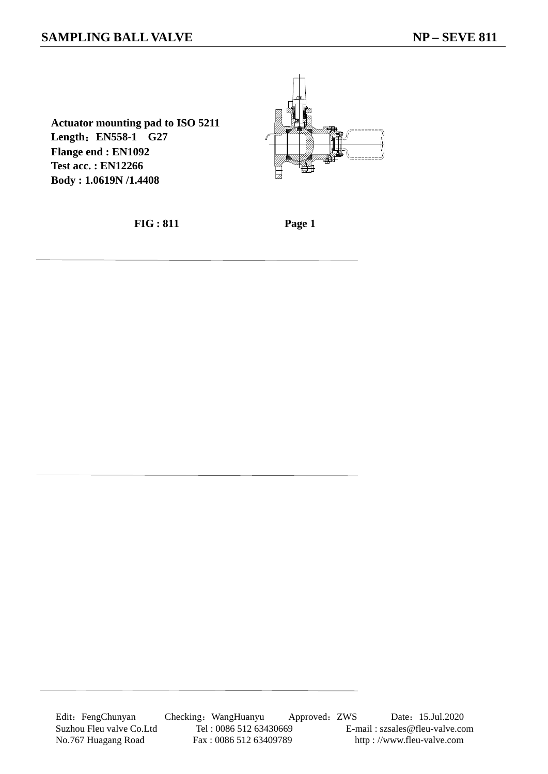**Actuator mounting pad to ISO 5211 Length**:**EN558-1 G27 Flange end : EN1092 Test acc. : EN12266 Body : 1.0619N /1.4408**



 **FIG : 811 Page 1**